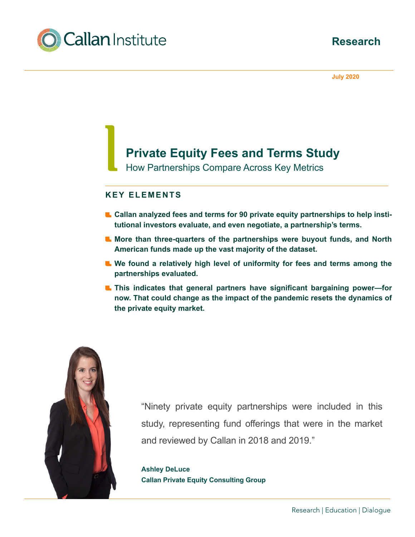



**July 2020**

# **Private Equity Fees and Terms Study**

How Partnerships Compare Across Key Metrics

# **KEY ELEMENTS**

- **L** Callan analyzed fees and terms for 90 private equity partnerships to help insti**tutional investors evaluate, and even negotiate, a partnership's terms.**
- **More than three-quarters of the partnerships were buyout funds, and North American funds made up the vast majority of the dataset.**
- **L** We found a relatively high level of uniformity for fees and terms among the **partnerships evaluated.**
- **This indicates that general partners have significant bargaining power—for now. That could change as the impact of the pandemic resets the dynamics of the private equity market.**



"Ninety private equity partnerships were included in this study, representing fund offerings that were in the market and reviewed by Callan in 2018 and 2019."

**Ashley DeLuce Callan Private Equity Consulting Group**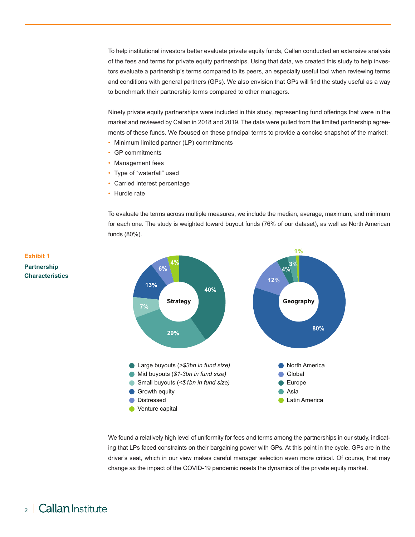To help institutional investors better evaluate private equity funds, Callan conducted an extensive analysis of the fees and terms for private equity partnerships. Using that data, we created this study to help investors evaluate a partnership's terms compared to its peers, an especially useful tool when reviewing terms and conditions with general partners (GPs). We also envision that GPs will find the study useful as a way to benchmark their partnership terms compared to other managers.

Ninety private equity partnerships were included in this study, representing fund offerings that were in the market and reviewed by Callan in 2018 and 2019. The data were pulled from the limited partnership agreements of these funds. We focused on these principal terms to provide a concise snapshot of the market:

- Minimum limited partner (LP) commitments
- GP commitments
- Management fees
- Type of "waterfall" used
- Carried interest percentage
- Hurdle rate

To evaluate the terms across multiple measures, we include the median, average, maximum, and minimum for each one. The study is weighted toward buyout funds (76% of our dataset), as well as North American funds (80%).



We found a relatively high level of uniformity for fees and terms among the partnerships in our study, indicating that LPs faced constraints on their bargaining power with GPs. At this point in the cycle, GPs are in the driver's seat, which in our view makes careful manager selection even more critical. Of course, that may change as the impact of the COVID-19 pandemic resets the dynamics of the private equity market.

# **Exhibit 1 Partnership Characteristics**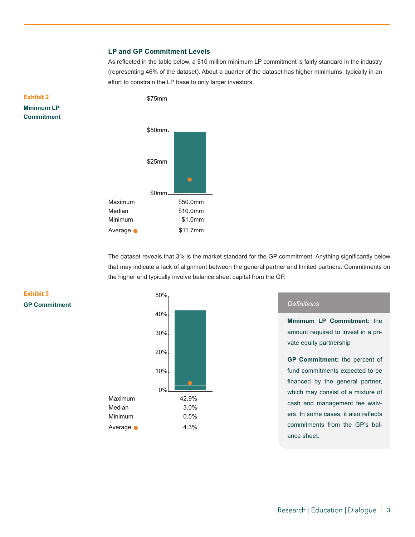#### **LP and GP Commitment Levels**

As reflected in the table below, a \$10 million minimum LP commitment is fairly standard in the industry (representing 46% of the dataset). About a quarter of the dataset has higher minimums, typically in an effort to constrain the LP base to only larger investors.



The dataset reveals that 3% is the market standard for the GP commitment. Anything significantly below that may indicate a lack of alignment between the general partner and limited partners. Commitments on the higher end typically involve balance sheet capital from the GP.



#### *Definitions*

**Minimum LP Commitment:** the amount required to invest in a private equity partnership

**GP Commitment:** the percent of fund commitments expected to be financed by the general partner, which may consist of a mixture of cash and management fee waivers. In some cases, it also reflects commitments from the GP's balance sheet.

## **Exhibit 3 GP Commitment**

**Exhibit 2 Minimum LP Commitment**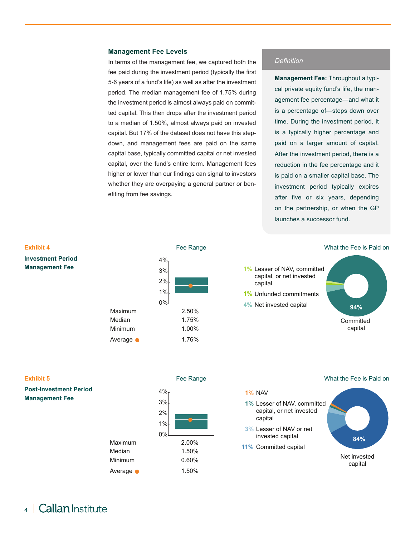#### **Management Fee Levels**

In terms of the management fee, we captured both the fee paid during the investment period (typically the first 5-6 years of a fund's life) as well as after the investment period. The median management fee of 1.75% during the investment period is almost always paid on committed capital. This then drops after the investment period to a median of 1.50%, almost always paid on invested capital. But 17% of the dataset does not have this stepdown, and management fees are paid on the same capital base, typically committed capital or net invested capital, over the fund's entire term. Management fees higher or lower than our findings can signal to investors whether they are overpaying a general partner or benefiting from fee savings.

#### *Definition*

**Management Fee:** Throughout a typical private equity fund's life, the management fee percentage—and what it is a percentage of—steps down over time. During the investment period, it is a typically higher percentage and paid on a larger amount of capital. After the investment period, there is a reduction in the fee percentage and it is paid on a smaller capital base. The investment period typically expires after five or six years, depending on the partnership, or when the GP launches a successor fund.



**1%** NAV

#### **Exhibit 5**

**Post-Investment Period Management Fee**





Maximum 2.00%

What the Fee is Paid on

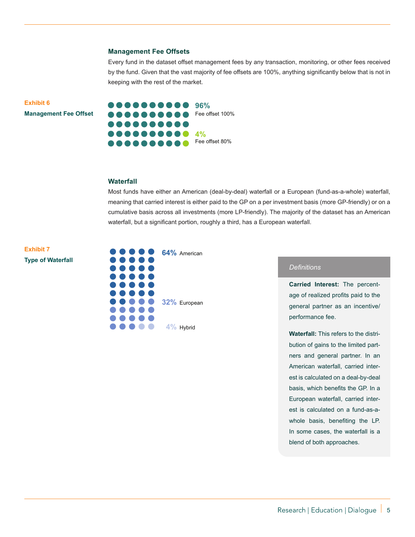#### **Management Fee Offsets**

Every fund in the dataset offset management fees by any transaction, monitoring, or other fees received by the fund. Given that the vast majority of fee offsets are 100%, anything significantly below that is not in keeping with the rest of the market.

**Exhibit 6 Management Fee Offset**



#### **Waterfall**

Most funds have either an American (deal-by-deal) waterfall or a European (fund-as-a-whole) waterfall, meaning that carried interest is either paid to the GP on a per investment basis (more GP-friendly) or on a cumulative basis across all investments (more LP-friendly). The majority of the dataset has an American waterfall, but a significant portion, roughly a third, has a European waterfall.



#### **32%** European

**4%** Hybrid

 $\bullet$   $\bullet$ 

#### *Definitions*

**Carried Interest:** The percentage of realized profits paid to the general partner as an incentive/ performance fee.

**Waterfall:** This refers to the distribution of gains to the limited partners and general partner. In an American waterfall, carried interest is calculated on a deal-by-deal basis, which benefits the GP. In a European waterfall, carried interest is calculated on a fund-as-awhole basis, benefiting the LP. In some cases, the waterfall is a blend of both approaches.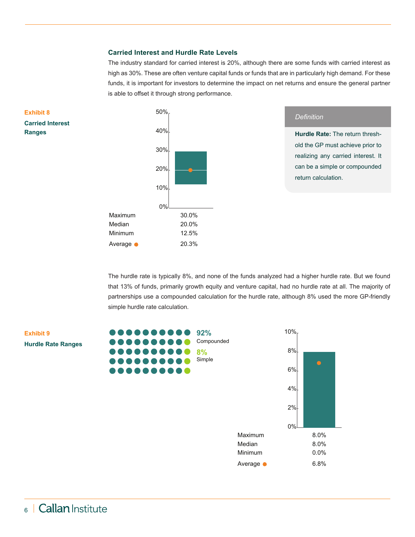### **Carried Interest and Hurdle Rate Levels**

The industry standard for carried interest is 20%, although there are some funds with carried interest as high as 30%. These are often venture capital funds or funds that are in particularly high demand. For these funds, it is important for investors to determine the impact on net returns and ensure the general partner is able to offset it through strong performance.



The hurdle rate is typically 8%, and none of the funds analyzed had a higher hurdle rate. But we found that 13% of funds, primarily growth equity and venture capital, had no hurdle rate at all. The majority of partnerships use a compounded calculation for the hurdle rate, although 8% used the more GP-friendly simple hurdle rate calculation.

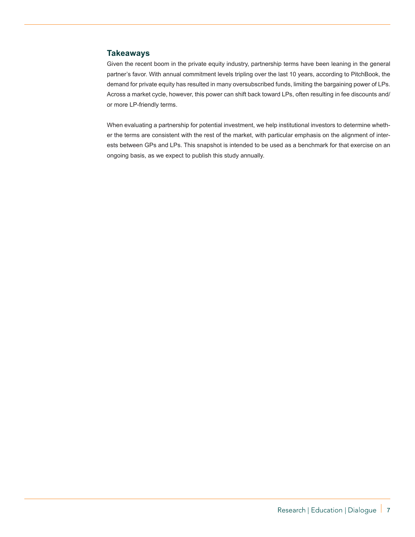# **Takeaways**

Given the recent boom in the private equity industry, partnership terms have been leaning in the general partner's favor. With annual commitment levels tripling over the last 10 years, according to PitchBook, the demand for private equity has resulted in many oversubscribed funds, limiting the bargaining power of LPs. Across a market cycle, however, this power can shift back toward LPs, often resulting in fee discounts and/ or more LP-friendly terms.

When evaluating a partnership for potential investment, we help institutional investors to determine whether the terms are consistent with the rest of the market, with particular emphasis on the alignment of interests between GPs and LPs. This snapshot is intended to be used as a benchmark for that exercise on an ongoing basis, as we expect to publish this study annually.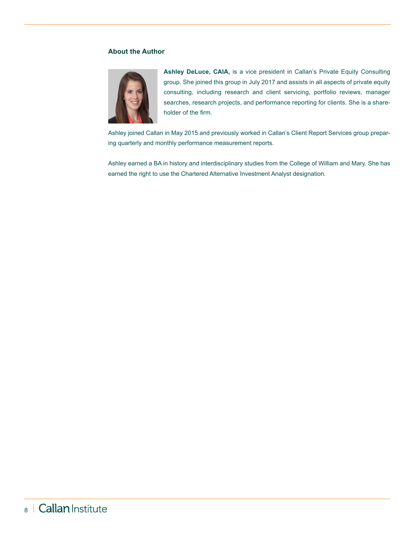#### **About the Author**



**Ashley DeLuce, CAIA,** is a vice president in Callan's Private Equity Consulting group. She joined this group in July 2017 and assists in all aspects of private equity consulting, including research and client servicing, portfolio reviews, manager searches, research projects, and performance reporting for clients. She is a shareholder of the firm.

Ashley joined Callan in May 2015 and previously worked in Callan's Client Report Services group preparing quarterly and monthly performance measurement reports.

Ashley earned a BA in history and interdisciplinary studies from the College of William and Mary. She has earned the right to use the Chartered Alternative Investment Analyst designation.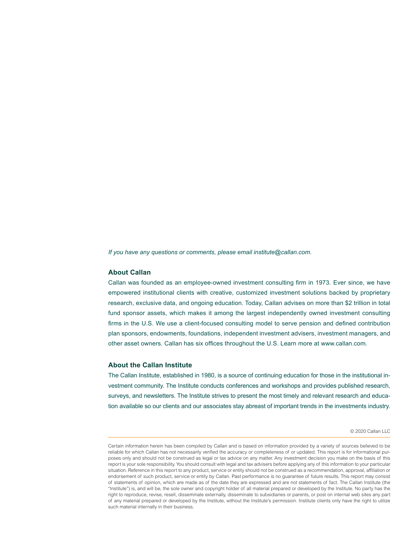*If you have any questions or comments, please email institute@callan.com.*

#### **About Callan**

Callan was founded as an employee-owned investment consulting firm in 1973. Ever since, we have empowered institutional clients with creative, customized investment solutions backed by proprietary research, exclusive data, and ongoing education. Today, Callan advises on more than \$2 trillion in total fund sponsor assets, which makes it among the largest independently owned investment consulting firms in the U.S. We use a client-focused consulting model to serve pension and defined contribution plan sponsors, endowments, foundations, independent investment advisers, investment managers, and other asset owners. Callan has six offices throughout the U.S. Learn more at www.callan.com.

#### **About the Callan Institute**

The Callan Institute, established in 1980, is a source of continuing education for those in the institutional investment community. The Institute conducts conferences and workshops and provides published research, surveys, and newsletters. The Institute strives to present the most timely and relevant research and education available so our clients and our associates stay abreast of important trends in the investments industry.

#### © 2020 Callan LLC

Certain information herein has been compiled by Callan and is based on information provided by a variety of sources believed to be reliable for which Callan has not necessarily verified the accuracy or completeness of or updated. This report is for informational purposes only and should not be construed as legal or tax advice on any matter. Any investment decision you make on the basis of this report is your sole responsibility. You should consult with legal and tax advisers before applying any of this information to your particular situation. Reference in this report to any product, service or entity should not be construed as a recommendation, approval, affiliation or endorsement of such product, service or entity by Callan. Past performance is no guarantee of future results. This report may consist of statements of opinion, which are made as of the date they are expressed and are not statements of fact. The Callan Institute (the "Institute") is, and will be, the sole owner and copyright holder of all material prepared or developed by the Institute. No party has the right to reproduce, revise, resell, disseminate externally, disseminate to subsidiaries or parents, or post on internal web sites any part of any material prepared or developed by the Institute, without the Institute's permission. Institute clients only have the right to utilize such material internally in their business.